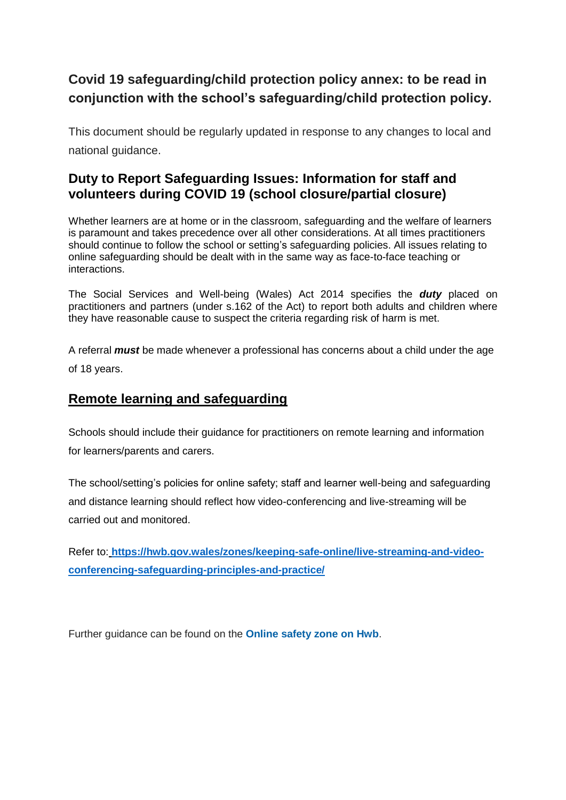# **Covid 19 safeguarding/child protection policy annex: to be read in conjunction with the school's safeguarding/child protection policy.**

This document should be regularly updated in response to any changes to local and national guidance.

## **Duty to Report Safeguarding Issues: Information for staff and volunteers during COVID 19 (school closure/partial closure)**

Whether learners are at home or in the classroom, safeguarding and the welfare of learners is paramount and takes precedence over all other considerations. At all times practitioners should continue to follow the school or setting's safeguarding policies. All issues relating to online safeguarding should be dealt with in the same way as face-to-face teaching or interactions.

The Social Services and Well-being (Wales) Act 2014 specifies the *duty* placed on practitioners and partners (under s.162 of the Act) to report both adults and children where they have reasonable cause to suspect the criteria regarding risk of harm is met.

A referral *must* be made whenever a professional has concerns about a child under the age of 18 years.

### **Remote learning and safeguarding**

Schools should include their guidance for practitioners on remote learning and information for learners/parents and carers.

The school/setting's policies for online safety; staff and learner well-being and safeguarding and distance learning should reflect how video-conferencing and live-streaming will be carried out and monitored.

Refer to: **[https://hwb.gov.wales/zones/keeping-safe-online/live-streaming-and-video](https://hwb.gov.wales/zones/keeping-safe-online/live-streaming-and-video-conferencing-safeguarding-principles-and-practice/)[conferencing-safeguarding-principles-and-practice/](https://hwb.gov.wales/zones/keeping-safe-online/live-streaming-and-video-conferencing-safeguarding-principles-and-practice/)**

Further guidance can be found on the **[Online safety zone on Hwb](https://hwb.gov.wales/zones/online-safety/)**.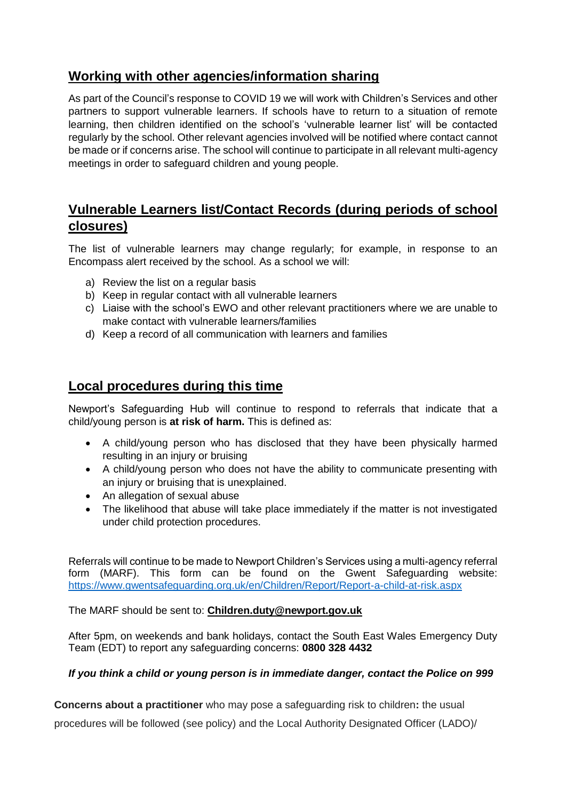#### **Working with other agencies/information sharing**

As part of the Council's response to COVID 19 we will work with Children's Services and other partners to support vulnerable learners. If schools have to return to a situation of remote learning, then children identified on the school's 'vulnerable learner list' will be contacted regularly by the school. Other relevant agencies involved will be notified where contact cannot be made or if concerns arise. The school will continue to participate in all relevant multi-agency meetings in order to safeguard children and young people.

## **Vulnerable Learners list/Contact Records (during periods of school closures)**

The list of vulnerable learners may change regularly; for example, in response to an Encompass alert received by the school. As a school we will:

- a) Review the list on a regular basis
- b) Keep in regular contact with all vulnerable learners
- c) Liaise with the school's EWO and other relevant practitioners where we are unable to make contact with vulnerable learners/families
- d) Keep a record of all communication with learners and families

#### **Local procedures during this time**

Newport's Safeguarding Hub will continue to respond to referrals that indicate that a child/young person is **at risk of harm.** This is defined as:

- A child/young person who has disclosed that they have been physically harmed resulting in an injury or bruising
- A child/young person who does not have the ability to communicate presenting with an injury or bruising that is unexplained.
- An allegation of sexual abuse
- The likelihood that abuse will take place immediately if the matter is not investigated under child protection procedures.

Referrals will continue to be made to Newport Children's Services using a multi-agency referral form (MARF). This form can be found on the Gwent Safeguarding website: <https://www.gwentsafeguarding.org.uk/en/Children/Report/Report-a-child-at-risk.aspx>

The MARF should be sent to: **[Children.duty@newport.gov.uk](mailto:Children.duty@newport.gov.uk)**

After 5pm, on weekends and bank holidays, contact the South East Wales Emergency Duty Team (EDT) to report any safeguarding concerns: **0800 328 4432**

#### *If you think a child or young person is in immediate danger, contact the Police on 999*

**Concerns about a practitioner** who may pose a safeguarding risk to children**:** the usual

procedures will be followed (see policy) and the Local Authority Designated Officer (LADO)/